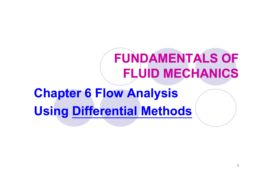# **FUNDAMENTALS OFFLUID MECHANICS**

**Chapter 6 Flow Analysis Using Differential Methods**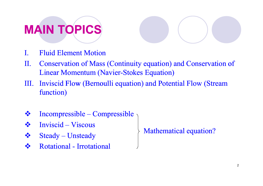# **MAIN TOPICS**

- I. Fluid Element Motion
- II. Conservation of Mass (Continuity equation) and Conservation of Linear Momentum (Navier-Stokes Equation)
- III. Inviscid Flow (Bernoulli equation) and Potential Flow (Stream function)
- Incompressible – Compressible
- Inviscid – Viscous
- 
- Rotational - Irrotational

Steady – Unsteady Mathematical equation?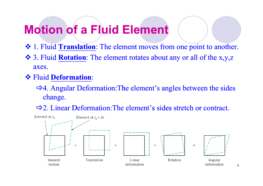#### **Motion of a Fluid Element**

- 1. Fluid **Translation**: The element moves from one point to another.
- 3. Fluid **Rotation**: The element rotates about any or all of the x,y,z axes.
- Fluid **Deformation**:
	- $\Rightarrow$  4. Angular Deformation: The element's angles between the sides change.
	- $\Rightarrow$  2. Linear Deformation: The element's sides stretch or contract.



3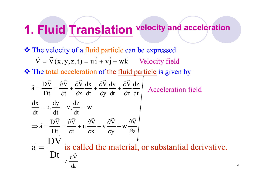#### **1 Fluid Translation velocity and acceleration 1.**

The velocity of a fluid particle can be expressed

$$
\vec{V} = \vec{V}(x, y, z, t) = u\vec{i} + v\vec{j} + w\vec{k}
$$
 Velocity field

**❖** The total acceleration of the fluid particle is given by

$$
\vec{a} = \frac{D\vec{V}}{Dt} = \frac{\partial \vec{V}}{\partial t} + \frac{\partial \vec{V}}{\partial x} \frac{dx}{dt} + \frac{\partial \vec{V}}{\partial y} \frac{dy}{dt} + \frac{\partial \vec{V}}{\partial z} \frac{dz}{dt}
$$
\nAcceleration field\n
$$
\frac{dx}{dt} = u, \frac{dy}{dt} = v, \frac{dz}{dt} = w
$$
\n
$$
\Rightarrow \vec{a} = \frac{D\vec{V}}{Dt} = \frac{\partial \vec{V}}{\partial t} + u \frac{\partial \vec{V}}{\partial x} + v \frac{\partial \vec{V}}{\partial y} + w \frac{\partial \vec{V}}{\partial z}
$$
\n
$$
\vec{a} = \frac{D\vec{V}}{Dt} \text{ is called the material, or substantial derivative.}
$$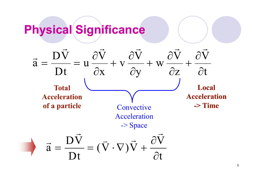#### **Physical Significance**

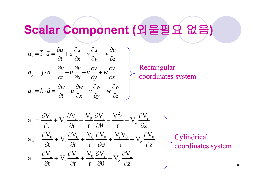#### **Scalar Component (**외울필요 없음 **)**

$$
a_x = \vec{i} \cdot \vec{a} = \frac{\partial u}{\partial t} + u \frac{\partial u}{\partial x} + v \frac{\partial u}{\partial y} + w \frac{\partial u}{\partial z}
$$
  

$$
a_y = \vec{j} \cdot \vec{a} = \frac{\partial v}{\partial t} + u \frac{\partial v}{\partial x} + v \frac{\partial v}{\partial y} + w \frac{\partial v}{\partial z}
$$
  

$$
a_z = \vec{k} \cdot \vec{a} = \frac{\partial w}{\partial t} + u \frac{\partial w}{\partial x} + v \frac{\partial w}{\partial y} + w \frac{\partial w}{\partial z}
$$

Rectangular coordinates system

$$
a_{r} = \frac{\partial V_{r}}{\partial t} + V_{r} \frac{\partial V_{r}}{\partial r} + \frac{V_{\theta}}{r} \frac{\partial V_{r}}{\partial \theta} - \frac{V_{\theta}^{2}}{r} + V_{z} \frac{\partial V_{r}}{\partial z}
$$
\n
$$
a_{\theta} = \frac{\partial V_{\theta}}{\partial t} + V_{r} \frac{\partial V_{\theta}}{\partial r} + \frac{V_{\theta}}{r} \frac{\partial V_{\theta}}{\partial \theta} + \frac{V_{r}V_{\theta}}{r} + V_{z} \frac{\partial V_{\theta}}{\partial z}
$$
\n
$$
a_{z} = \frac{\partial V_{z}}{\partial t} + V_{r} \frac{\partial V_{z}}{\partial r} + \frac{V_{\theta}}{r} \frac{\partial V_{z}}{\partial \theta} + V_{z} \frac{\partial V_{z}}{\partial z}
$$

Cylindrical coordinates system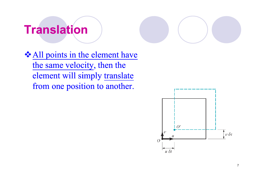#### **Translation**

**❖ All points in the element have** the same velocity, then the element will simply translate from one position to another.

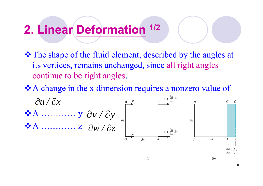#### **2 Linear Deformation 1/2 2.**

- $\triangle$  **The shape of the fluid element, described by the angles at** its vertices, remains unchanged, since all right angles continue to be right angles.
- $\triangle A$  change in the x dimension requires a nonzero value of



 $(a)$ 

8

 $(b)$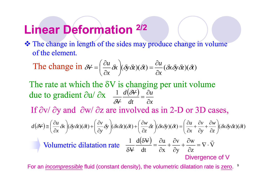#### **Linear Deformation 2/2**

\* The change in length of the sides may produce change in volume of the element.

The change in 
$$
\delta V = \left(\frac{\partial u}{\partial x} \delta x\right) (\delta y \delta z) (\delta t) = \frac{\partial u}{\partial x} (\delta x \delta y \delta z) (\delta t)
$$

The rate at which the  $\delta V$  is changing per unit volume due to gradient  $\partial u/\partial$ 1  $d(\delta V)$   $\partial u$ due to gradient  $\partial u / \partial x$   $\frac{1}{x} \frac{d(\partial \mathcal{V})}{dx}$  $\delta V$  dt  $\partial x$  $\delta$ If  $\partial v/\partial y$  and  $\partial w/\partial z$  are involved as in 2-D or 3D cases,

$$
d(\delta \vec{v}) \approx \left(\frac{\partial u}{\partial x}\delta x\right) (\delta y \delta z) (\delta t) + \left(\frac{\partial v}{\partial y}\delta y\right) (\delta x \delta z) (\delta t) + \left(\frac{\partial w}{\partial z}\delta z\right) (\delta x \delta y) (\delta t) = \left(\frac{\partial u}{\partial x} + \frac{\partial v}{\partial y} + \frac{\partial w}{\partial z}\right) (\delta x \delta y \delta z) (\delta t)
$$
  
Volumeetric dilatation rate 
$$
\frac{1}{\delta \vec{v}} \frac{d(\delta \vec{v})}{dt} = \frac{\partial u}{\partial x} + \frac{\partial v}{\partial y} + \frac{\partial w}{\partial z} = \nabla \cdot \vec{v}
$$

For an *incompressible* fluid (constant density), the volumetric dilatation rate is zero. <sup>9</sup>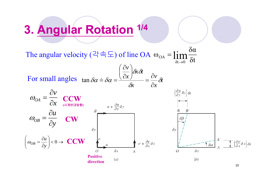## **3 Angular Rotation 1/4 .**

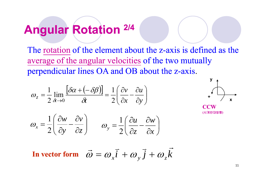#### **Angular Rotation 2/4**

The rotation of the element about the z-axis is defined as the average of the angular velocities of the two mutually perpendicular lines OA and OB about the z-axis.

$$
\omega_z = \frac{1}{2} \lim_{\delta t \to 0} \frac{\left[\delta \alpha + (-\delta \beta)\right]}{\delta t} = \frac{1}{2} \left(\frac{\partial v}{\partial x} - \frac{\partial u}{\partial y}\right)
$$





$$
\omega_x = \frac{1}{2} \left( \frac{\partial w}{\partial y} - \frac{\partial v}{\partial z} \right) \qquad \omega_y = \frac{1}{2} \left( \frac{\partial u}{\partial z} - \frac{\partial w}{\partial x} \right)
$$

 $i + \omega_y j + \omega_z k$ **In** vector form  $\vec{\omega} = \omega_x \vec{i} + \omega_y \vec{j} + \omega_z \vec{k}$ 

11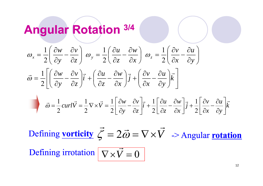#### **Angular Rotation 3/4**

$$
\omega_x = \frac{1}{2} \left( \frac{\partial w}{\partial y} - \frac{\partial v}{\partial z} \right) \omega_y = \frac{1}{2} \left( \frac{\partial u}{\partial z} - \frac{\partial w}{\partial x} \right) \omega_z = \frac{1}{2} \left( \frac{\partial v}{\partial x} - \frac{\partial u}{\partial y} \right)
$$

$$
\vec{\omega} = \frac{1}{2} \left[ \left( \frac{\partial w}{\partial y} - \frac{\partial v}{\partial z} \right) \vec{i} + \left( \frac{\partial u}{\partial z} - \frac{\partial w}{\partial x} \right) \vec{j} + \left( \frac{\partial v}{\partial x} - \frac{\partial u}{\partial y} \right) \vec{k} \right]
$$

$$
\vec{\omega} = \frac{1}{2} \operatorname{curl} \vec{V} = \frac{1}{2} \nabla \times \vec{V} = \frac{1}{2} \left[ \frac{\partial w}{\partial y} - \frac{\partial v}{\partial z} \right] \vec{i} + \frac{1}{2} \left[ \frac{\partial u}{\partial z} - \frac{\partial w}{\partial x} \right] \vec{j} + \frac{1}{2} \left[ \frac{\partial v}{\partial x} - \frac{\partial u}{\partial y} \right] \vec{k}
$$

Defining **vorticity**  $\mathcal{E} = 2\vec{\omega} = \nabla \times V$  $\rightarrow$  a  $\rightarrow$   $\rightarrow$   $\rightarrow$  $\zeta$  $= 2\vec{\omega} = \nabla \times V$  -> Angular <u>rotation</u> Defining irrotation  $\nabla \times \vec{V} = 0$  $\rightarrow$  g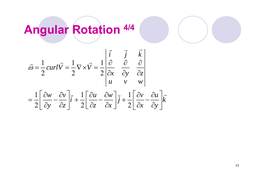## **Angular Rotation 4/4**

$$
\vec{\omega} = \frac{1}{2} \operatorname{curl} \vec{V} = \frac{1}{2} \nabla \times \vec{V} = \frac{1}{2} \begin{vmatrix} \vec{i} & \vec{j} & \vec{k} \\ \frac{\partial}{\partial x} & \frac{\partial}{\partial y} & \frac{\partial}{\partial z} \\ u & v & w \end{vmatrix}
$$

$$
= \frac{1}{2} \left[ \frac{\partial w}{\partial y} - \frac{\partial v}{\partial z} \right] \vec{i} + \frac{1}{2} \left[ \frac{\partial u}{\partial z} - \frac{\partial w}{\partial x} \right] \vec{j} + \frac{1}{2} \left[ \frac{\partial v}{\partial x} - \frac{\partial u}{\partial y} \right] \vec{k}
$$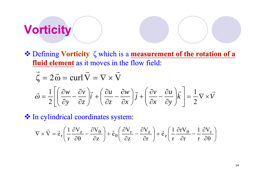## **Vorticity**

 Defining **Vorticity** ζ which is a **measurement of the rotation of a fluid element** as it moves in the flow field:

$$
\vec{\zeta} = 2\vec{\omega} = \text{curl}\,\vec{V} = \nabla \times \vec{V}
$$

$$
\vec{\omega} = \frac{1}{2} \left[ \left( \frac{\partial w}{\partial y} - \frac{\partial v}{\partial z} \right) \vec{i} + \left( \frac{\partial u}{\partial z} - \frac{\partial w}{\partial x} \right) \vec{j} + \left( \frac{\partial v}{\partial x} - \frac{\partial u}{\partial y} \right) \vec{k} \right] = \frac{1}{2} \nabla \times \vec{V}
$$

 $\triangleleft$  In cylindrical coordinates system:

$$
\nabla \times \vec{V} = \vec{e}_r \left( \frac{1}{r} \frac{\partial V_z}{\partial \theta} - \frac{\partial V_\theta}{\partial z} \right) + \vec{e}_\theta \left( \frac{\partial V_r}{\partial z} - \frac{\partial V_z}{\partial r} \right) + \vec{e}_z \left( \frac{1}{r} \frac{\partial r V_\theta}{\partial r} - \frac{1}{r} \frac{\partial V_r}{\partial \theta} \right)
$$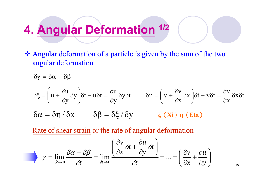#### **4 Angular Deformation 1/2 .**

 Angular deformation of a particle is given by the sum of the two angular deformation

 $\delta \gamma = \delta \alpha + \delta \beta$ 

$$
\delta \xi = \left( u + \frac{\partial u}{\partial y} \delta y \right) \delta t - u \delta t = \frac{\partial u}{\partial y} \delta y \delta t \qquad \delta \eta = \left( v + \frac{\partial v}{\partial x} \delta x \right) \delta t - v \delta t = \frac{\partial v}{\partial x} \delta x \delta t
$$

$$
\delta \alpha = \delta \eta / \delta x \qquad \delta \beta = \delta \xi / \delta y \qquad \xi \text{ (Xi) } \eta \text{ (Eta)}
$$

Rate of shear strain or the rate of angular deformation

$$
\dot{\gamma} = \lim_{\delta t \to 0} \frac{\delta \alpha + \delta \beta}{\delta t} = \lim_{\delta t \to 0} \frac{\left(\frac{\partial v}{\partial x} \delta t + \frac{\partial u}{\partial y} \delta t\right)}{\delta t} = \dots = \left(\frac{\partial v}{\partial x} + \frac{\partial u}{\partial y}\right)
$$

15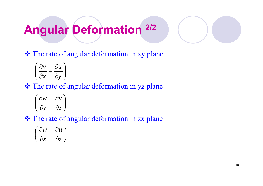## **Angular Deformation 2/2**

**❖** The rate of angular deformation in xy plane

$$
\left(\frac{\partial v}{\partial x} + \frac{\partial u}{\partial y}\right)
$$

**❖** The rate of angular deformation in yz plane

$$
\left(\frac{\partial w}{\partial y} + \frac{\partial v}{\partial z}\right)
$$

**❖** The rate of angular deformation in zx plane

$$
\left(\frac{\partial w}{\partial x} + \frac{\partial u}{\partial z}\right)
$$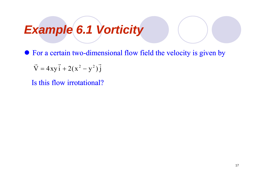#### *Example 6 1 Vorticity .*

• For a certain two-dimensional flow field the velocity is given by

 $\vec{V} = 4xy\vec{i} + 2(x^2 - y^2)\vec{j}$  $\rightarrow$   $\rightarrow$   $\rightarrow$   $\rightarrow$   $\rightarrow$   $\rightarrow$   $\rightarrow$  $= 4xy_1 + 2(x^2 -$ 

Is this flow irrotational?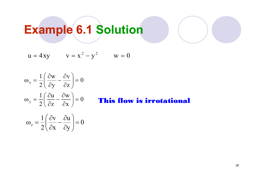# **Example 6.1 Solution**

$$
u = 4xy \qquad v = x^2 - y^2 \qquad w = 0
$$

$$
\omega_{x} = \frac{1}{2} \left( \frac{\partial w}{\partial y} - \frac{\partial v}{\partial z} \right) = 0
$$
  
\n
$$
\omega_{y} = \frac{1}{2} \left( \frac{\partial u}{\partial z} - \frac{\partial w}{\partial x} \right) = 0
$$
 This fil  
\n
$$
\omega_{z} = \frac{1}{2} \left( \frac{\partial v}{\partial x} - \frac{\partial u}{\partial y} \right) = 0
$$

#### ow is irrotational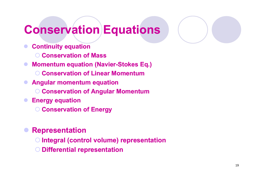#### **Conservation Equations**

- **Continuity equation**
	- **Conservation of Mass**
- $\bullet$ **Momentum equation (Navier-Stokes Eq.)** 
	- **C ti f Li M t Conserva onservation o Linear Momentum**
- **Angular momentum equation**
	- **Conservation of Angular Momentum**
- $\bullet$  **Energy equation**
	- **Conservation of Energy**

#### $\bullet$ **Representation**

- **Integral (control volume) representation**
- **Differential representation**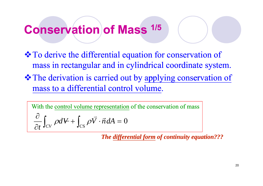#### **Conservation of Mass of 1/5**

- $\triangle$  **To derive the differential equation for conservation of** mass in rectangular and in cylindrical coordinate system.
- $\triangle$  **The derivation is carried out by applying conservation of** mass to a differential control volume.

With the control volume representation of the conservation of mass

$$
\frac{\partial}{\partial t} \int_{CV} \rho dV + \int_{CS} \rho \vec{V} \cdot \vec{n} dA = 0
$$

The differential form of continuity equation???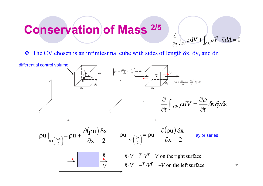#### **Conservation of Mass of 2/5**

 $\cos \rho V \cdot \vec{n} dA = 0$  $\pm 1$   $QV \cdot n dA =$ д  $\widehat{O}$  $\int_{\mathcal{C}V} \rho dV + \int_{CS} \rho \vec{V} \cdot \vec{n} dA$  $\rho dV + \int_{-\infty}^{\infty} \rho \vec{V} \cdot \vec{n}$ 

 $\frac{1}{2}$  $\bullet$  The CV chosen is an infinitesimal cube with sides of length  $\delta x$ ,  $\delta y$ , and  $\delta z$ .



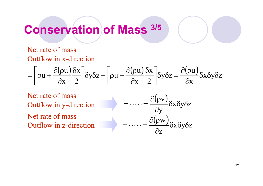#### **Conservation of Mass of 3/5**

#### Net rate of mass Outflow in x-direction

$$
= \left[\rho u + \frac{\partial(\rho u)}{\partial x} \frac{\delta x}{2}\right] \delta y \delta z - \left[\rho u - \frac{\partial(\rho u)}{\partial x} \frac{\delta x}{2}\right] \delta y \delta z = \frac{\partial(\rho u)}{\partial x} \delta x \delta y \delta z
$$

Net rate of mass Outflow in y-direction Net rate of mass Outflow in z-direction

 $(\rho \mathrm{v})$ — oxoyoz<br>y  $\frac{(\rho \text{V})}{\partial \text{V}} \delta \text{x} \delta \text{y} \delta$  $\partial(\rho$  $\equiv$  $\cdots =$ ass<br>direction  $= \cdots = \frac{\partial(\rho w)}{\partial \rho}$  $\mathbf X$  $\delta$ y $\delta$ z  $\partial {\bf z}$  $\partial(\rho w)$  $\delta$  $\overline{\phantom{0}}$  $= \cdots =$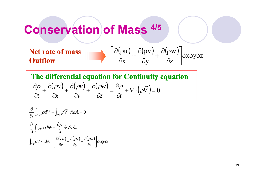#### **Conservation of Mass of 4/5**

**Net rate of mass**  
\n**Outflow**\n
$$
\left[\frac{\partial(\rho u)}{\partial x} + \frac{\partial(\rho v)}{\partial y} + \frac{\partial(\rho w)}{\partial z}\right] \delta x \delta y \delta z
$$

**The differential equation for Continuity equation**  $\frac{(\rho u)}{2} + \frac{\partial (\rho v)}{2} + \frac{\partial (\rho w)}{2} = \frac{\partial \rho}{2} + \nabla \cdot ($  $\bigg)$  $=0$  $=\frac{\partial}{\partial x}$  $+\frac{\partial}{\partial}$  $+\frac{\partial}{\partial}$  $+\frac{\partial}{\partial}$  $\frac{\partial \rho}{\partial t} + \frac{\partial (\rho u)}{\partial t} + \frac{\partial (\rho v)}{\partial t} + \frac{\partial (\rho w)}{\partial t} = \frac{\partial \rho}{\partial t} + \nabla \cdot (\rho \vec{V})$ *u v w*  $\rho$  $\frac{\partial \rho}{\partial t} + \frac{\partial (\rho u)}{\partial x} + \frac{\partial (\rho v)}{\partial y} + \frac{\partial (\rho w)}{\partial z} = \frac{\partial \rho}{\partial t} + \nabla \cdot \left( \frac{\partial u}{\partial x} + \frac{\partial u}{\partial y} \right)$ 

$$
\frac{\partial}{\partial t} \int_{CV} \rho dV + \int_{CS} \rho \vec{V} \cdot \vec{n} dA = 0
$$
  

$$
\frac{\partial}{\partial t} \int_{CV} \rho dV = \frac{\partial \rho}{\partial t} \delta x \delta y \delta z
$$
  

$$
\int_{CS} \rho \vec{V} \cdot \vec{n} dA = \left[ \frac{\partial (\rho u)}{\partial x} + \frac{\partial (\rho v)}{\partial y} + \frac{\partial (\rho w)}{\partial z} \right] \delta x \delta y \delta z
$$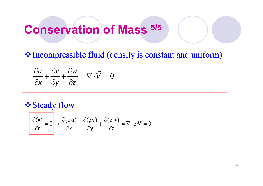#### **Conservation of Mass of 5/5**

 $\lozenge$  Incompressible fluid (density is constant and uniform)

$$
\frac{\partial u}{\partial x} + \frac{\partial v}{\partial y} + \frac{\partial w}{\partial z} = \nabla \cdot \vec{V} = 0
$$

#### **Steady flow**

$$
\frac{\partial(\bullet)}{\partial t} = 0 \rightarrow \frac{\partial(\rho u)}{\partial x} + \frac{\partial(\rho v)}{\partial y} + \frac{\partial(\rho w)}{\partial z} = \nabla \cdot \rho \vec{V} = 0
$$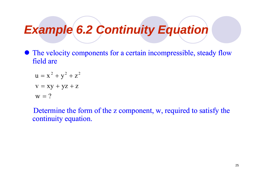#### *Example 6 2 Continuity Equation .*

• The velocity components for a certain incompressible, steady flow field are

$$
u = x2 + y2 + z2
$$
  

$$
v = xy + yz + z
$$
  

$$
w = ?
$$

Determine the form of the z component, w, required to satisfy the continuity equation.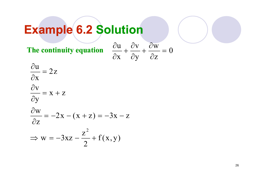## **Example 6.2 Solution**

**The continuity equation** 
$$
\frac{\partial u}{\partial x} + \frac{\partial v}{\partial y} + \frac{\partial w}{\partial z} = 0
$$

$$
\frac{\partial u}{\partial x} = 2z
$$

$$
\frac{\partial v}{\partial y} = x + z
$$

$$
\frac{\partial \mathbf{w}}{\partial \mathbf{z}} = -2\mathbf{x} - (\mathbf{x} + \mathbf{z}) = -3\mathbf{x} - \mathbf{z}
$$

$$
\Rightarrow w = -3xz - \frac{z^2}{2} + f(x, y)
$$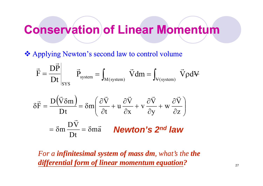#### **Conservation of Linear Momentum of**

Applying Newton's second law to control volume

$$
\vec{F} = \frac{D\vec{P}}{Dt}\Bigg|_{\text{SYS}} \quad \vec{P}_{\text{system}} = \int_{\text{M(system)}} \ \vec{V} \text{dm} = \int_{\text{V(system)}} \ \vec{V} \text{pdV}
$$

$$
\delta \vec{F} = \frac{D(\vec{V}\delta m)}{Dt} = \delta m \left(\frac{\partial \vec{V}}{\partial t} + u \frac{\partial \vec{V}}{\partial x} + v \frac{\partial \vec{V}}{\partial y} + w \frac{\partial \vec{V}}{\partial z}\right)
$$

$$
= \delta m \frac{D\vec{V}}{Dt} = \delta m \vec{a} \qquad \text{Newton's 2nd law}
$$

*For a infinitesimal system of mass dm, what's the the differential form of linear momentum equation ?*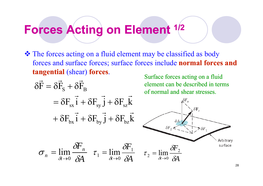#### **Forces Acting on Element 1/2**

 The forces acting on a fluid element may be classified as body forces and surface forces; surface forces include **normal forces and tangential** (shear) **forces**. Surface forces acting on a fluid

$$
\delta \vec{F} = \delta \vec{F}_{s} + \delta \vec{F}_{B} \qquad \text{element can be described in terms of normal and shear stresses.}
$$
\n
$$
= \delta F_{sx} \vec{i} + \delta F_{sy} \vec{j} + \delta F_{sz} \vec{k} \qquad \text{where } \vec{F} = \vec{F}_{av} \vec{i} + \delta F_{sy} \vec{j} + \delta F_{sz} \vec{k} \qquad \text{where } \vec{F} = \vec{F}_{av} \vec{i} + \delta F_{sy} \vec{j} + \delta F_{sz} \vec{k} \qquad \text{where } \vec{F} = \vec{F}_{av} \vec{i} + \delta F_{sy} \vec{j} + \delta F_{sz} \vec{k} \qquad \text{where } \vec{F} = \vec{F}_{av} \vec{i} + \delta F_{sy} \vec{j} + \delta F_{sz} \vec{k} \qquad \text{where } \vec{F} = \vec{F}_{av} \vec{i} + \delta F_{sy} \vec{j} + \delta F_{sz} \vec{k} \qquad \text{where } \vec{F} = \vec{F}_{av} \vec{i} + \delta F_{sy} \vec{j} + \delta F_{sz} \vec{k} \qquad \text{where } \vec{F} = \vec{F}_{av} \vec{i} + \delta F_{sy} \vec{j} + \delta F_{sz} \vec{k} \qquad \text{where } \vec{F} = \vec{F}_{av} \vec{i} + \delta F_{sy} \vec{j} + \delta F_{sz} \vec{k} \qquad \text{where } \vec{F} = \vec{F}_{av} \vec{i} + \delta F_{sy} \vec{j} + \delta F_{sz} \vec{k} \qquad \text{where } \vec{F} = \vec{F}_{av} \vec{i} + \delta F_{sy} \vec{j} + \delta F_{sz} \vec{k} \qquad \text{where } \vec{F} = \vec{F}_{av} \vec{i} + \delta F_{sy} \vec{j} + \delta F_{sz} \vec{k} \qquad \text{where } \vec{F} = \vec{F}_{av} \vec{i} + \delta F_{sy} \vec{j} + \delta F_{sz} \vec{k} \qquad \text{where } \vec{F} = \vec{F}_{av} \vec{i} + \delta F_{sy} \vec{j} + \delta F_{sz} \vec{k} \qquad \text{where } \vec{F} = \vec{F}_{av} \vec{i} + \delta F_{sy} \vec{j} + \delta F_{sz} \vec{k} \qquad \text{where } \vec{F} =
$$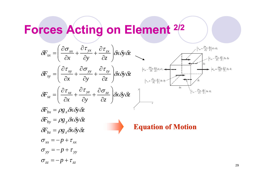#### **Forces Acting on Element 2/2**

 $\sigma_{yy} = -p + \tau_{yy}$ 

 $\sigma_{zz} = -p + \tau_{zz}$ 

 $\sigma_{xx} = -p + \tau_{xx}$ 

$$
\delta F_{sx} = \left(\frac{\partial \sigma_{xx}}{\partial x} + \frac{\partial \tau_{yx}}{\partial y} + \frac{\partial \tau_{zx}}{\partial z}\right) \delta x \delta y \delta z
$$
\n
$$
\delta F_{sy} = \left(\frac{\partial \tau_{xy}}{\partial x} + \frac{\partial \sigma_{yy}}{\partial y} + \frac{\partial \tau_{zy}}{\partial z}\right) \delta x \delta y \delta z
$$
\n
$$
\delta F_{sz} = \left(\frac{\partial \tau_{xz}}{\partial x} + \frac{\partial \tau_{yz}}{\partial y} + \frac{\partial \tau_{zy}}{\partial z}\right) \delta x \delta y \delta z
$$
\n
$$
\delta F_{sz} = \left(\frac{\partial \tau_{xz}}{\partial x} + \frac{\partial \tau_{yz}}{\partial y} + \frac{\partial \sigma_{zz}}{\partial z}\right) \delta x \delta y \delta z
$$
\n
$$
\delta F_{bx} = \rho g_x \delta x \delta y \delta z
$$
\n
$$
\delta F_{by} = \rho g_y \delta x \delta y \delta z
$$
\n
$$
\delta F_{bz} = \rho g_z \delta x \delta y \delta z
$$
\n
$$
\delta F_{bz} = \rho g_z \delta x \delta y \delta z
$$
\n
$$
\delta F_{bz} = \rho g_z \delta x \delta y \delta z
$$
\n
$$
\delta F_{bz} = \rho g_z \delta x \delta y \delta z
$$
\n
$$
\delta F_{bz} = \rho g_z \delta x \delta y \delta z
$$
\n
$$
\delta F_{bz} = \rho g_z \delta x \delta y \delta z
$$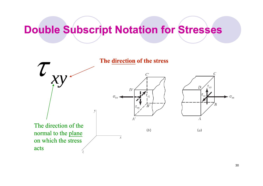#### **Double Subscript Notation for Stresses Stresses**



30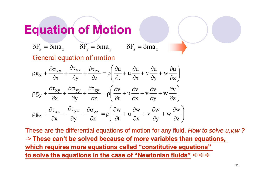#### **Equation of Motion**

 $\delta F_x = \delta ma_x$   $\delta F_y = \delta ma_y$   $\delta F_z = \delta ma_z$ General equation of motion

$$
\rho g_x + \frac{\partial \sigma_{xx}}{\partial x} + \frac{\partial \tau_{yx}}{\partial y} + \frac{\partial \tau_{zx}}{\partial z} = \rho \left( \frac{\partial u}{\partial t} + u \frac{\partial u}{\partial x} + v \frac{\partial u}{\partial y} + w \frac{\partial u}{\partial z} \right)
$$
  

$$
\rho g_y + \frac{\partial \tau_{xy}}{\partial x} + \frac{\partial \sigma_{yy}}{\partial y} + \frac{\partial \tau_{zy}}{\partial z} = \rho \left( \frac{\partial v}{\partial t} + u \frac{\partial v}{\partial x} + v \frac{\partial v}{\partial y} + w \frac{\partial v}{\partial z} \right)
$$
  

$$
\rho g_z + \frac{\partial \tau_{xz}}{\partial x} + \frac{\partial \tau_{yz}}{\partial y} + \frac{\partial \sigma_{zz}}{\partial z} = \rho \left( \frac{\partial w}{\partial t} + u \frac{\partial w}{\partial x} + v \frac{\partial w}{\partial y} + w \frac{\partial w}{\partial z} \right)
$$

These are the differential equations of motion for any fluid. *How to solve u,v,w ?* -> **These can't be solved because of more variables than equations, which requires more equations called "constitutive equations" to solve the equations in the case of "Newtonian fluids** o solve the equations in the case of "Newtonian fluids" **ウ**ウウ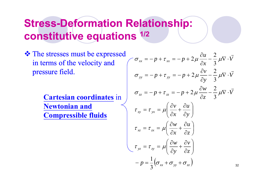#### **Stress-Deformation Relationship: constitutive equations 1/2**

 The stresses must be expressed in terms of the velocity and pressure field.  $\sigma = -n + \tau = -n + 2\mu \frac{\partial}{\partial x}$ 

> **Newtonian and Compressible fluids**

stresses must be expressed  
\nterms of the velocity and  
\nsure field.

\n
$$
\sigma_{xx} = -p + \tau_{xx} = -p + 2\mu \frac{\partial u}{\partial x} - \frac{2}{3} \mu \nabla \cdot \vec{V}
$$
\nCartesian coordinates in

\n
$$
\sigma_{xy} = -p + \tau_{yy} = -p + 2\mu \frac{\partial v}{\partial y} - \frac{2}{3} \mu \nabla \cdot \vec{V}
$$

\n
$$
\sigma_{zz} = -p + \tau_{zz} = -p + 2\mu \frac{\partial v}{\partial z} - \frac{2}{3} \mu \nabla \cdot \vec{V}
$$

\n
$$
\sigma_{zx} = -p + \tau_{zx} = -p + 2\mu \frac{\partial v}{\partial z} - \frac{2}{3} \mu \nabla \cdot \vec{V}
$$

\n
$$
\sigma_{zx} = -p + \tau_{zx} = -p + 2\mu \frac{\partial v}{\partial z} - \frac{2}{3} \mu \nabla \cdot \vec{V}
$$

\n
$$
\sigma_{zx} = -p + \tau_{zx} = -p + 2\mu \frac{\partial v}{\partial z} - \frac{2}{3} \mu \nabla \cdot \vec{V}
$$

\n
$$
\sigma_{zx} = -p + \tau_{zx} = -p + 2\mu \frac{\partial v}{\partial z} - \frac{2}{3} \mu \nabla \cdot \vec{V}
$$

\n
$$
\sigma_{zx} = -p + \tau_{zx} = -p + 2\mu \frac{\partial v}{\partial z} - \frac{2}{3} \mu \nabla \cdot \vec{V}
$$

\n
$$
\sigma_{zx} = -p + \tau_{zx} = -p + 2\mu \frac{\partial v}{\partial z} - \frac{2}{3} \mu \nabla \cdot \vec{V}
$$

\n
$$
\sigma_{zx} = -p + \tau_{zx} = -p + 2\mu \frac{\partial v}{\partial z} - \frac{2}{3} \mu \nabla \cdot \vec{V}
$$

\n
$$
\sigma_{zx} = -p + \tau_{zx} = -p + 2\mu \frac{\partial v}{\partial z} - \frac{2}{3} \mu \nabla \cdot \vec{V}
$$

\n
$$
\sigma_{zx} = -p + \tau_{zx} = -p + 2\mu \
$$

32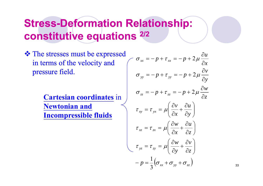#### **Stress-Deformation Relationship: constitutive equations 2/2**

 The stresses must be expressed in terms of the velocity and pressure field.  $\sigma = -n + \tau = -n + 2\mu \frac{\partial}{\partial x}$ 

> **Cartesian coordinates** in **Newtonian and Incompressible fluids**

$$
\sigma_{xx} = -p + \tau_{xx} = -p + 2\mu \frac{\partial u}{\partial x}
$$
  
\n
$$
\sigma_{yy} = -p + \tau_{yy} = -p + 2\mu \frac{\partial v}{\partial y}
$$
  
\n
$$
\sigma_{zz} = -p + \tau_{zz} = -p + 2\mu \frac{\partial w}{\partial z}
$$
  
\n
$$
\tau_{xy} = \tau_{yx} = \mu \left( \frac{\partial v}{\partial x} + \frac{\partial u}{\partial y} \right)
$$
  
\n
$$
\tau_{xz} = \tau_{zx} = \mu \left( \frac{\partial w}{\partial x} + \frac{\partial u}{\partial z} \right)
$$
  
\n
$$
\tau_{yz} = \tau_{zy} = \mu \left( \frac{\partial w}{\partial y} + \frac{\partial v}{\partial z} \right)
$$
  
\n
$$
-p = \frac{1}{3} (\sigma_{xx} + \sigma_{yy} + \sigma_{zz})
$$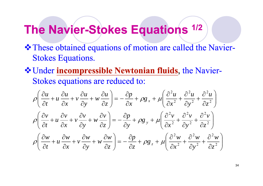#### **The Navier-Stokes Equations**  $1/2$

- \* These obtained equations of motion are called the Navier-Stokes Equations.
- **\*** Under incompressible Newtonian fluids, the Navier-Stokes equations are reduced to:

$$
\rho \left( \frac{\partial u}{\partial t} + u \frac{\partial u}{\partial x} + v \frac{\partial u}{\partial y} + w \frac{\partial u}{\partial z} \right) = -\frac{\partial p}{\partial x} + \rho g_x + \mu \left( \frac{\partial^2 u}{\partial x^2} + \frac{\partial^2 u}{\partial y^2} + \frac{\partial^2 u}{\partial z^2} \right)
$$
  

$$
\rho \left( \frac{\partial v}{\partial t} + u \frac{\partial v}{\partial x} + v \frac{\partial v}{\partial y} + w \frac{\partial v}{\partial z} \right) = -\frac{\partial p}{\partial y} + \rho g_y + \mu \left( \frac{\partial^2 v}{\partial x^2} + \frac{\partial^2 v}{\partial y^2} + \frac{\partial^2 v}{\partial z^2} \right)
$$
  

$$
\rho \left( \frac{\partial w}{\partial t} + u \frac{\partial w}{\partial x} + v \frac{\partial w}{\partial y} + w \frac{\partial w}{\partial z} \right) = -\frac{\partial p}{\partial z} + \rho g_z + \mu \left( \frac{\partial^2 w}{\partial x^2} + \frac{\partial^2 w}{\partial y^2} + \frac{\partial^2 w}{\partial z^2} \right)
$$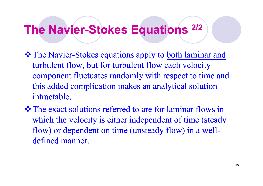#### **The Navier-Stokes Equations**  $^{2/2}$

- **☆ The Navier-Stokes equations apply to both laminar and** turbulent flow, but for turbulent flow each velocity component fluctuates randomly with respect to time and this added complication makes an analytical solution intractable.
- $\triangle$  **The exact solutions referred to are for laminar flows in** which the velocity is either independent of time (steady flow) or dependent on time (unsteady flow) in a welldefined manner.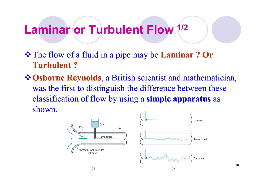#### **Laminar or Turbulent Flow Laminar Flow1/2**

- The flow of a fluid in a pipe may be **Laminar ? Or Turbulent ?**
- **Osborne Reynolds**, a British scientist and mathematician, was the first to distin guish the difference between these classification of flow by using a **simple apparatus** as shown.

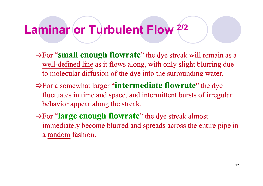## **Laminar or Turbulent Flow Laminar Flow2/2**

- For "**small enough flowrate**" the dye streak will remain as a well-defined line as it flows along, with only slight blurring due to molecular diffusion of the dye into the surrounding water.
- For a somewhat larger "**intermediate flowrate**" the dye fluctuates in time and space, and intermittent bursts of irregular behavior appear along the streak.
- $\Rightarrow$  For "**large enough flowrate**" the dye streak almost immediately become blurred and spreads across the entire pipe in a random fashion.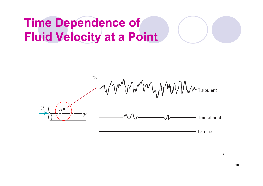# **Time Dependence of Fluid Velocity at a Point**



38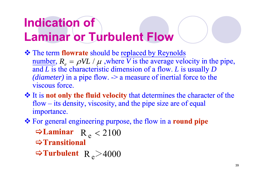# **Indication of Laminar or Turbulent Flow**

- **\*** The term **flowrate** should be replaced by Reynolds number,  $R_e = \rho V L / \mu$ , where *V* is the average velocity in the pipe, and  $L$  is the characteristic dimension of a flow.  $L$  is usually  $D$ *(diameter)* in a pipe flow. -> a measure of inertial force to the viscous force.
- $\cdot \cdot$  It is not only the fluid velocity that determines the character of the flow – its density, viscosity, and the pipe size are of equal importance.
- For general engineering purpose, the flow in a **round pipe**

 $\Rightarrow$ **Laminar** R<sub>e</sub> < 2100 **Transitional**

 $\blacktriangleright$ Turbulent R  $_{\rm e}$   $\!\!>$  4000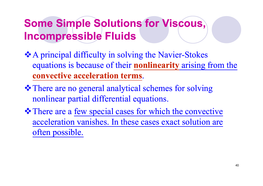## **Some Simple Solutions for Viscous, Incompressible Fluids**

- \* A principal difficulty in solving the Navier-Stokes equations is because of their **nonlinearity** arising from the **convective acceleration terms**.
- There are no general analytical schemes for solving nonlinear partial differential equations.
- There are a few special cases for which the convective acceleration vanishes. In these cases exact solution are often possible.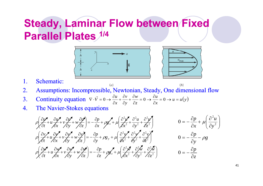## **Steady, Laminar Flow between Fixed Parallel Plates 1/4**



 $(a)$ 



 $(b)$ 

- 1. Schematic:
- 2. Assumptions: Incompressible, Newtonian, Steady, One dimensional flow
- 3. Continuity equation  $\nabla \cdot \vec{v} = 0 \rightarrow \frac{\partial u}{\partial x} + \frac{\partial v}{\partial y} + \frac{\partial w}{\partial z} = 0 \rightarrow \frac{\partial u}{\partial x} = 0 \rightarrow u = u(y)$ *u z w y v x*  $\vec{V} = 0 \rightarrow \frac{\partial u}{\partial x} + \frac{\partial v}{\partial y} + \frac{\partial w}{\partial z} = 0 \rightarrow \frac{\partial u}{\partial x} = 0 \rightarrow u =$  $\frac{\partial w}{\partial z} = 0 \rightarrow \frac{\partial w}{\partial z}$  $\frac{\partial v}{\partial y} + \frac{\partial}{\partial z}$  $\frac{\partial u}{\partial x} + \frac{\partial}{\partial y}$  $\nabla \cdot \vec{V} = 0 \rightarrow \frac{\partial u}{\partial t} + \frac{\partial v}{\partial t} + \frac{\partial w}{\partial t} = 0 \rightarrow \frac{\partial u}{\partial t} = 0$ →
- 4. The Navier-Stokes equations

$$
\rho \left( \frac{\partial \mathbf{u}}{\partial t} + u \frac{\partial \mathbf{u}}{\partial x} + v \frac{\partial \mathbf{u}}{\partial y} + w \frac{\partial \mathbf{u}}{\partial z} \right) = -\frac{\partial p}{\partial x} + \rho g_x + \mu \left( \frac{\partial^2 \mathbf{u}}{\partial x^2} + \frac{\partial^2 u}{\partial y^2} + \frac{\partial^2 \mathbf{u}}{\partial z^2} \right) \qquad 0 = -\frac{\partial p}{\partial x} + \mu \left( \frac{\partial^2 u}{\partial y^2} \right)
$$
\n
$$
\rho \left( \frac{\partial v}{\partial t} + u \frac{\partial v}{\partial x} + v \frac{\partial v}{\partial y} + w \frac{\partial v}{\partial z} \right) = -\frac{\partial p}{\partial y} + \rho g_y + \mu \left( \frac{\partial^2 v}{\partial x^2} + \frac{\partial^2 v}{\partial y^2} + \frac{\partial^2 v}{\partial z^2} \right) \qquad 0 = -\frac{\partial p}{\partial y} - \rho g
$$
\n
$$
\rho \left( \frac{\partial v}{\partial t} + u \frac{\partial v}{\partial x} + v \frac{\partial v}{\partial y} + w \frac{\partial v}{\partial z} \right) = -\frac{\partial p}{\partial z} + \rho g_z + \mu \left( \frac{\partial^2 v}{\partial x^2} + \frac{\partial^2 w}{\partial y^2} + \frac{\partial^2 w}{\partial z^2} \right) \qquad 0 = -\frac{\partial p}{\partial z}
$$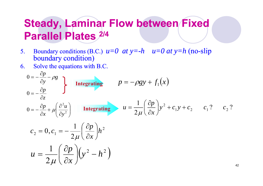### **Steady, Laminar Flow between Fixed Parallel Plates 2/4**

- 55. Boundary conditions (B.C.)  $u=0$  at  $y=-h$   $u=0$  at  $y=h$  (no-slip Boundary conditions (B.C.)  $u=0$  at  $y=h$   $u=0$  at  $y=h$  (no-slip<br>boundary condition)
- 6. Solve the equations with B.C.

$$
0 = -\frac{\partial p}{\partial y} - \rho g
$$
  
\n
$$
0 = -\frac{\partial p}{\partial z}
$$
  
\n
$$
0 = -\frac{\partial p}{\partial x} + \mu \left(\frac{\partial^2 u}{\partial y^2}\right)
$$
  
\nIntegrating  
\n
$$
u = \frac{1}{2\mu} \left(\frac{\partial p}{\partial x}\right) y^2 + c_1 y + c_2
$$
  
\n
$$
c_2 = 0, c_1 = -\frac{1}{2\mu} \left(\frac{\partial p}{\partial x}\right) h^2
$$
  
\n
$$
u = \frac{1}{2\mu} \left(\frac{\partial p}{\partial x}\right) (y^2 - h^2)
$$

42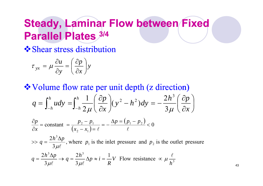## **Steady, Laminar Flow between Fixed Parallel Plates 3/4**

 $\diamondsuit$  Shear stress distribution

$$
\tau_{yx} = \mu \frac{\partial u}{\partial y} = \left(\frac{\partial p}{\partial x}\right)y
$$

❖ Volume flow rate per unit depth (z direction)

$$
q = \int_{-h}^{h} u dy = \int_{-h}^{h} \frac{1}{2\mu} \left(\frac{\partial p}{\partial x}\right) (y^2 - h^2) dy = -\frac{2h^3}{3\mu} \left(\frac{\partial p}{\partial x}\right)
$$

$$
\frac{\partial p}{\partial x} = \text{constant} = \frac{p_2 - p_1}{(x_2 - x_1) = \ell} = -\frac{\Delta p = (p_1 - p_2)}{\ell} < 0
$$

 $_1$  is the linet pressure and  $P_2$  $\frac{3\Delta p}{r}$ , where  $p_1$  is the inlet pressure and  $p_2$  is the outlet pressure 3  $\frac{2h^3\Delta p}{2}$ , where  $p_1$  is the inlet pressure and p  $h^{\beta} \Delta p$ *q*  $\mu \ell$  $\gg$   $q = \frac{2h^3\Delta}{\sqrt{2}}$ 

$$
q = \frac{2h^3 \Delta p}{3\mu\ell} \to q = \frac{2h^3}{3\mu\ell} \Delta p \approx i = \frac{1}{R}V \text{ Flow resistance } \propto \mu \frac{\ell}{h^3}
$$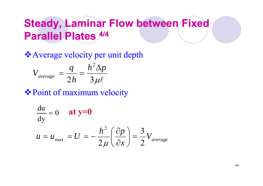## **Steady, Laminar Flow between Fixed Parallel Plates 4/4**

Average velocity per unit depth

$$
V_{average} = \frac{q}{2h} = \frac{h^2 \Delta p}{3\mu\ell}
$$

Point of maximum velocity Point of

$$
\frac{du}{dy} = 0 \quad \text{at y=0}
$$
  

$$
u = u_{\text{max}} = U = -\frac{h^2}{2\mu} \left(\frac{\partial p}{\partial x}\right) = \frac{3}{2} V_{\text{average}}
$$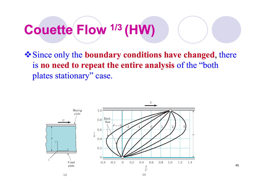# **Couette Flow 1/3 (HW)**

Since only the **boundary conditions have changed**, there is **no need to repeat the entire analysis** of the "both plates stationary" case.



45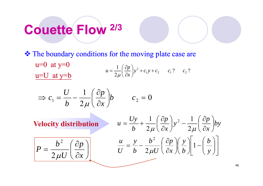# **Couette Flow 2/3**

**❖** The boundary conditions for the moving plate case are

 $u=0$  at  $y=0$ ? c<sub>2</sub>?  $\frac{1}{2} \left( \frac{\partial p}{\partial z} \right) y^2 + c_1 y + c_2 \qquad c_1 ? \qquad c_2$  $y^2 + c_1y + c_2$   $c_1$ ? *c*  $u = \frac{1}{2\mu} \left(\frac{\partial p}{\partial x}\right) y^2 + c_1 y + c_2 \qquad c_1 ? \qquad c_2$  $u=U$  at  $y=b$ 

$$
\Rightarrow c_1 = \frac{U}{b} - \frac{1}{2\mu} \left(\frac{\partial p}{\partial x}\right) b \qquad c_2 = 0
$$

 $\int$ 

 $\left(\frac{\partial p}{\partial p}\right)$ 

*p*

*x*

 $\widehat{O}$ 

 $\setminus$ 

 $\bigg($ 

**Velocity distribution**

 $=\frac{b^2}{\sqrt{2}}\left(\frac{\partial}{\partial x}\right)$ 

2

 $P = \frac{b^2}{2\mu}$ 

*U*

$$
\begin{array}{ll}\n\text{tion} & u = \frac{Uy}{b} + \frac{1}{2\mu} \left( \frac{\partial p}{\partial x} \right) y^2 - \frac{1}{2\mu} \left( \frac{\partial p}{\partial x} \right) by \\
\frac{u}{U} = \frac{y}{b} - \frac{b^2}{2\mu U} \left( \frac{\partial p}{\partial x} \right) \left( \frac{y}{b} \right) \left[ 1 - \left( \frac{b}{y} \right) \right]\n\end{array}
$$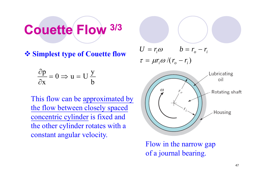# **Couette Flow 3/3**

**Simplest type of Couette flow**

$$
\frac{\partial \mathbf{p}}{\partial \mathbf{x}} = 0 \Rightarrow \mathbf{u} = \mathbf{U} \frac{\mathbf{y}}{\mathbf{b}}
$$

This flow can be approximated by the flow between closely spaced concentric cylinder is fixed and the other cylinder rotates with a constant angular velocity.

 $U = r_i \omega$   $b = r_o - r_i$  $\tau = \mu r_i \omega / (r_o - r_i)$ 



Flow in the narrow gap of a journal bearing.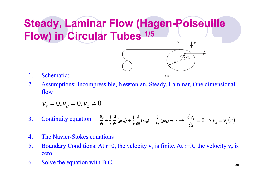### **Steady, Laminar Flow (Hagen-Poiseuille Flow) in Circular Tubes 1/5**  $\big\}^{\rm g}$  $\sqrt{\overline{e}}$  $\overline{z}$

- 1. Schematic:
- 2. Assumptions: Incompressible, Newtonian, Steady, Laminar, One dimensional flow

 $(a)$ 

$$
v_r = 0, v_{\theta} = 0, v_z \neq 0
$$

- 3. Continuity equation  $\frac{\partial \rho}{\partial t} + \frac{1}{r} \frac{\partial}{\partial t} (\rho v_r) + \frac{1}{r} \frac{\partial}{\partial \theta} (\rho v_\theta) + \frac{\partial}{\partial t} (\rho v_z) = 0 \rightarrow \frac{\partial V_z}{\partial t} = 0 \rightarrow V_z = V_z(r)$ *z v z z*  $\frac{\partial z}{\partial z} = 0 \rightarrow v_z = 0$  $\frac{\partial v_z}{\partial x} = 0$
- 44. The Navier-Stokes equations
- 5. Boundary Conditions: At r=0, the velocity  $v_z$  is finite. At r=R, the velocity  $v_z$  is zero.
- 6. Solve the equation with B.C.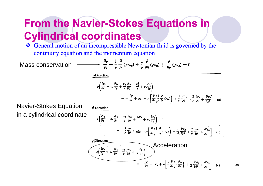## **From the Navier-Stokes Equations in Cylindrical coordinates**

General motion of an incompressible Newtonian fluid is governed by the continuity equation and the momentum equation

Mass conservation

r-Direction

A.Direction

$$
\rho \left( \frac{\partial v_r}{\partial t} + v_r \frac{\partial v_r}{\partial r} + \frac{v_\theta}{r} \frac{\partial v_r}{\partial \theta} - \frac{v_\theta^2}{r} + v_z \frac{\partial v_r}{\partial z} \right)
$$
  
= 
$$
- \frac{\partial p}{\partial r} + \rho g_r + \mu \left[ \frac{\partial}{\partial r} \left( \frac{1}{r} \frac{\partial}{\partial r} (rv_r) \right) + \frac{1}{r^2} \frac{\partial^2 v_r}{\partial \theta^2} - \frac{2}{r^2} \frac{\partial v_\theta}{\partial \theta} + \frac{\partial^2 v_r}{\partial z^2} \right]
$$
 (a)

 $\rightarrow \frac{\partial \rho}{\partial t} + \frac{1}{r} \frac{\partial}{\partial r} (\rho r v_r) + \frac{1}{r} \frac{\partial}{\partial \theta} (\rho v_{\theta}) + \frac{\partial}{\partial z} (\rho v_z) = 0$ 

Navier-Stokes Equation in <sup>a</sup> cylindrical coordinate

$$
\rho \left( \frac{\partial v_{\theta}}{\partial t} + v_{r} \frac{\partial v_{\theta}}{\partial r} + \frac{v_{\theta}}{r} \frac{\partial v_{\theta}}{\partial \theta} + \frac{v_{r}v_{\theta}}{r} + v_{s} \frac{\partial v_{\theta}}{\partial z} \right)
$$
\n
$$
= -\frac{1}{r} \frac{\partial \rho}{\partial \theta} + \rho g_{\theta} + \mu \left[ \frac{\partial}{\partial r} \left( \frac{1}{r} \frac{\partial}{\partial r} (rv_{\theta}) \right) + \frac{1}{r^{2}} \frac{\partial^{2} v_{\theta}}{\partial \theta^{2}} + \frac{2}{r^{2}} \frac{\partial v_{r}}{\partial \theta} + \frac{\partial^{2} v_{\theta}}{\partial z^{3}} \right] \quad \text{(b)}
$$
\n
$$
\frac{z \text{-Direction}}{\rho \left( \frac{\partial v_{s}}{\partial t} + v_{r} \frac{\partial v_{s}}{\partial r} + \frac{v_{\theta}}{r} \frac{\partial v_{s}}{\partial \theta} + v_{s} \frac{\partial v_{s}}{\partial z} \right)}
$$
\n
$$
= -\frac{\partial \rho}{\partial z} + \rho g_{s} + \mu \left[ \frac{1}{r} \frac{\partial}{\partial r} \left( r \frac{\partial v_{s}}{\partial r} \right) + \frac{1}{r^{3}} \frac{\partial^{2} v_{s}}{\partial \theta^{2}} + \frac{\partial^{2} v_{s}}{\partial z^{3}} \right] \quad \text{(c)}
$$

49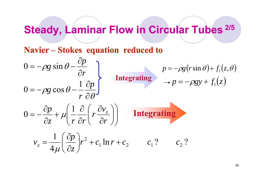# **Steady Laminar Flow in Circular Tubes 2/5 Steady, Tubes**

**Navier –Stokes equation reduced to**

$$
0 = -\rho g \sin \theta - \frac{\partial p}{\partial r}
$$
  
\n
$$
0 = -\rho g \cos \theta - \frac{1}{r} \frac{\partial p}{\partial \theta}
$$
  
\n
$$
0 = -\frac{\partial p}{\partial z} + \mu \left( \frac{1}{r} \frac{\partial}{\partial r} \left( r \frac{\partial v_z}{\partial r} \right) \right)
$$
  
\nIntegrating  
\n
$$
v = -\rho g (r \sin \theta) + f_1(z, \theta)
$$
  
\n
$$
+ p = -\rho g y + f_1(z)
$$
  
\n
$$
0 = -\frac{\partial p}{\partial z} + \mu \left( \frac{1}{r} \frac{\partial}{\partial r} \left( r \frac{\partial v_z}{\partial r} \right) \right)
$$
  
\nIntegrating  
\n
$$
v_z = \frac{1}{4\mu} \left( \frac{\partial p}{\partial z} \right) r^2 + c_1 \ln r + c_2 \qquad c_1 ? \qquad c_2 ?
$$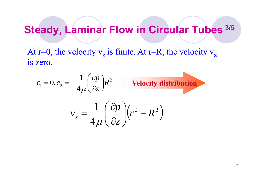### **Steady Laminar Flow in Circular Tubes 3/5 Steady, Tubes**

At  $r=0$ , the velocit  $=$ 0, the velocity  $v_z$  is finite. At r=R, the velocit  $=R$ , the velocity  $v_z$ is zero.

$$
c_1 = 0, c_2 = -\frac{1}{4\mu} \left(\frac{\partial p}{\partial z}\right) R^2
$$
 **Velocity distribution**  

$$
v_z = \frac{1}{4\mu} \left(\frac{\partial p}{\partial z}\right) \left(r^2 - R^2\right)
$$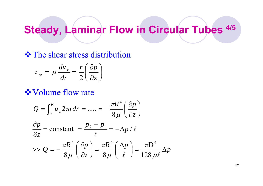## **Steady, Laminar Flow in Circular Tubes**  $4/5$

#### **❖ The shear stress distribution**

$$
\tau_{rz} = \mu \frac{dv_z}{dr} = \frac{r}{2} \left( \frac{\partial p}{\partial z} \right)
$$

#### **❖ Volume flow rate**

$$
Q = \int_0^R u_z 2\pi r dr = \dots = -\frac{\pi R^4}{8\mu} \left(\frac{\partial p}{\partial z}\right)
$$

$$
\frac{\partial p}{\partial z} = \text{constant} = \frac{p_2 - p_1}{\ell} = -\Delta p / \ell
$$

$$
\Rightarrow Q = -\frac{\pi R^4}{8\mu} \left(\frac{\partial p}{\partial z}\right) = \frac{\pi R^4}{8\mu} \left(\frac{\Delta p}{\ell}\right) = \frac{\pi D^4}{128\mu\ell} \Delta p
$$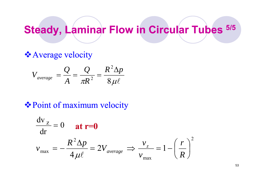## **Steady Laminar Flow in Circular Tubes 5/5 Steady, Tubes**

#### **Average velocity**

$$
V_{average} = \frac{Q}{A} = \frac{Q}{\pi R^2} = \frac{R^2 \Delta p}{8 \mu \ell}
$$

#### **❖ Point of maximum velocity**

$$
\frac{dv_z}{dr} = 0 \quad \text{at } r = 0
$$
  

$$
v_{\text{max}} = -\frac{R^2 \Delta p}{4\mu\ell} = 2V_{average} \implies \frac{v_z}{v_{\text{max}}} = 1 - \left(\frac{r}{R}\right)^2
$$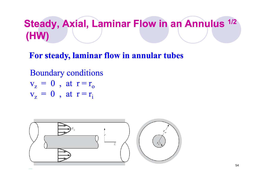## **Steady, Axial, Laminar Flow in an Annulus 1/2 (HW)**

**For steady, laminar flow in steady, annula r tubes**

Boundary conditions<br> $v_r = 0$ , at  $r = r_c$  $v_{z}$  = 0 , at r =  $r_{o}$  $v_z = 0$ , at  $r = r_i$ 

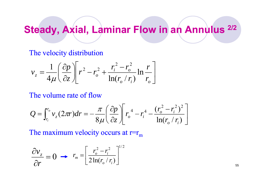# **Steady, Axial, Laminar Flow in an Annulus** <sup>2/2</sup>

#### The velocity distribution

$$
v_z = \frac{1}{4\mu} \left( \frac{\partial p}{\partial z} \right) \left[ r^2 - r_o^2 + \frac{r_i^2 - r_o^2}{\ln(r_o / r_i)} \ln \frac{r}{r_o} \right]
$$

#### The volume rate of flow

$$
Q = \int_{r_i}^{r_o} v_z (2\pi r) dr = -\frac{\pi}{8\mu} \left( \frac{\partial p}{\partial z} \right) \left[ r_o^4 - r_i^4 - \frac{(r_o^2 - r_i^2)^2}{\ln(r_o/r_i)} \right]
$$

The maximum velocity occurs at  $r=r_m$ 

$$
\frac{\partial v_z}{\partial r} = 0 \implies r_m = \left[\frac{r_o^2 - r_i^2}{2\ln(r_o/r_i)}\right]^{1/2}
$$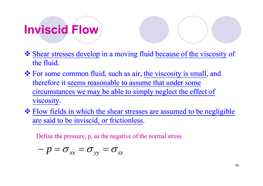# **Inviscid Flow**

- \* Shear stresses develop in a moving fluid because of the viscosity of the fluid.
- For some common fluid, such as air, the viscosity is small, and therefore it seems reasonable to assume that under some circumstances we may be able to simply neglect the effect of viscosity.
- ❖ Flow fields in which the shear stresses are assumed to be negligible are said to be inviscid, or frictionless.

Define the pressure, p, as the negative of the normal stress

$$
-p=\sigma_{xx}=\sigma_{yy}=\sigma_{zz}
$$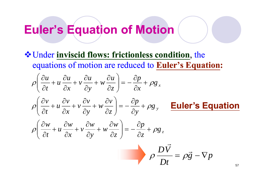### **Euler s s' Equation of Motion**

Under **inviscid flows: frictionless condition**, the equations of motion are reduced to **Euler's Equation:**

$$
\rho \left( \frac{\partial u}{\partial t} + u \frac{\partial u}{\partial x} + v \frac{\partial u}{\partial y} + w \frac{\partial u}{\partial z} \right) = -\frac{\partial p}{\partial x} + \rho g_x
$$

$$
\rho \left( \frac{\partial v}{\partial t} + u \frac{\partial v}{\partial x} + v \frac{\partial v}{\partial y} + w \frac{\partial v}{\partial z} \right) = -\frac{\partial p}{\partial y} + \rho g_y \qquad \text{Euler's Equation}
$$

$$
\rho \left( \frac{\partial w}{\partial t} + u \frac{\partial w}{\partial x} + v \frac{\partial w}{\partial y} + w \frac{\partial w}{\partial z} \right) = -\frac{\partial p}{\partial z} + \rho g_z
$$

$$
\rho \frac{D\vec{V}}{Dt} = \rho \vec{g} - \nabla p
$$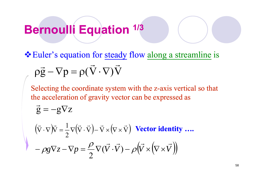# **Bernoulli Equation 1/3**

**Euler's equation for steady flow along a streamline is**  $\vec{g} - \nabla p = \rho(\nabla \cdot \nabla) V$  $\rightarrow$   $\rightarrow$   $\rightarrow$   $\rightarrow$  $pg -\nabla p = \rho(\nabla \cdot \nabla)$ 

Selecting the coordinate system with the z-axis vertical so that the acceleration of gravity vector can be expressed as

$$
\vec{g} = -g\nabla z
$$
  
\n
$$
(\vec{v} \cdot \nabla)\vec{v} = \frac{1}{2}\nabla(\vec{v} \cdot \vec{v}) - \vec{v} \times (\nabla \times \vec{v})
$$
 **Vector identity ...**  
\n
$$
-\rho g \nabla z - \nabla p = \frac{\rho}{2} \nabla(\vec{v} \cdot \vec{v}) - \rho (\vec{v} \times (\nabla \times \vec{v}))
$$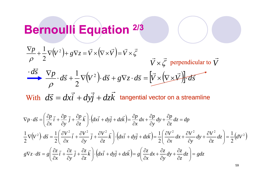# **Bernoulli Equation 2/3**

$$
\frac{\nabla p}{\rho} + \frac{1}{2}\nabla (V^2) + g\nabla z = \vec{V} \times (\nabla \times \vec{V}) = \vec{V} \times \vec{\zeta}
$$
\n
$$
\vec{V} \times \vec{\zeta} \text{ perpendicular to } \vec{V}
$$
\n
$$
\frac{d\vec{s}}{\rho} + \frac{1}{2}\nabla (V^2) \cdot d\vec{s} + g\nabla z \cdot d\vec{s} = \left[\vec{V} \times (\nabla \times \vec{V})\right] \cdot d\vec{s}
$$
\nWith  $d\vec{s} = dx\vec{i} + dy\vec{j} + dz\vec{k}$  tangential vector on a streamline\n
$$
\nabla p \cdot d\vec{s} = \left(\frac{\partial p}{\partial x}\vec{i} + \frac{\partial p}{\partial y}\vec{j} + \frac{\partial p}{\partial z}\vec{k}\right) \cdot (dx\vec{i} + dy\vec{j} + dz\vec{k}) = \frac{\partial p}{\partial x}dx + \frac{\partial p}{\partial y}dy + \frac{\partial p}{\partial z}dz = dp
$$
\n
$$
\frac{1}{2}\nabla (V^2) \cdot d\vec{s} = \frac{1}{2}\left(\frac{\partial V^2}{\partial x}\vec{i} + \frac{\partial V^2}{\partial y}\vec{j} + \frac{\partial V^2}{\partial z}\vec{k}\right) \cdot (dx\vec{i} + dy\vec{j} + dz\vec{k}) = \frac{1}{2}\left(\frac{\partial V^2}{\partial x}dx + \frac{\partial V^2}{\partial y}dy + \frac{\partial V^2}{\partial z}dz\right) = \frac{1}{2}\left(dV^2\vec{V} \times d\vec{s} + \frac{\partial z}{\partial y}\vec{i} + \frac{\partial z}{\partial z}\vec{k}\right) \cdot (dx\vec{i} + dy\vec{j} + dz\vec{k}) = g\left(\frac{\partial z}{\partial x}dx + \frac{\partial z}{\partial y}dy + \frac{\partial z}{\partial z}dz\right) = gdz
$$

59

 $\big)$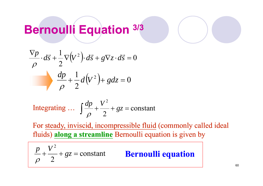# **Bernoulli Equation 3/3**

$$
\frac{\nabla p}{\rho} \cdot d\vec{s} + \frac{1}{2} \nabla (V^2) \cdot d\vec{s} + g \nabla z \cdot d\vec{s} = 0
$$
  

$$
\frac{dp}{\rho} + \frac{1}{2} d(V^2) + g dz = 0
$$

Integrating ... 
$$
\int \frac{dp}{\rho} + \frac{V^2}{2} + gz = \text{constant}
$$

For steady, inviscid, incompressible fluid (commonly called ideal fluids) along a streamline Bernoulli equation is given by

$$
\frac{p}{\rho} + \frac{V^2}{2} + gz = \text{constant}
$$
 **Bernoulli equation**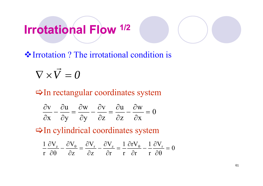#### **Irrotational Flow 1/ 2**I I IUW

 $\triangle$  Irrotation ? The irrotational condition is

 $\nabla\times V=0$  $\rightarrow$  $\times$  V  $\,=\,$ 

 $\Rightarrow$  In rectangular coordinates system

|  | $\frac{\partial v}{\partial x} - \frac{\partial u}{\partial y} = \frac{\partial w}{\partial y} - \frac{\partial v}{\partial y} = \frac{\partial u}{\partial y} - \frac{\partial w}{\partial y} = 0$ |  |  |
|--|-----------------------------------------------------------------------------------------------------------------------------------------------------------------------------------------------------|--|--|
|  | $\partial x$ $\partial y$ $\partial y$ $\partial z$ $\partial z$ $\partial x$                                                                                                                       |  |  |

 $\Rightarrow$  In cylindrical coordinates system

 $\rm 0$  $\rm V$ r 1 r rV r 1 r  ${\rm V}$ z ${\rm V}$ z $\rm V$   $\rm \partial V$ r  $\frac{1}{r} \frac{\partial V_z}{\partial \theta} - \frac{\partial V_{\theta}}{\partial z} = \frac{\partial V_r}{\partial z} - \frac{\partial V_z}{\partial r} = \frac{1}{r} \frac{\partial rV_{\theta}}{\partial r} - \frac{1}{r} \frac{\partial V_r}{\partial \theta} =$  $\frac{rV_\theta}{\partial r} - \frac{1}{r} \frac{\partial}{\partial r}$  $\frac{\partial V_z}{\partial r} = \frac{1}{r} \frac{\partial V_z}{\partial r}$  $\frac{\partial V_r}{\partial z} - \frac{\partial V_r}{\partial z}$  $\frac{\partial V_{\theta}}{\partial z} = \frac{\partial}{\partial z}$  $\frac{\partial V_z}{\partial \theta} - \frac{\partial V_z}{\partial \theta}$  $\partial {\rm V_{_{Z}}}$   $\quad \partial {\rm V_{_{\theta}}}$   $\_ \partial {\rm V_{_{r}}}$   $\quad \partial {\rm V_{_{Z}}}$   $\_ 1$   $\partial {\rm r}{\rm V_{_{\theta}}}$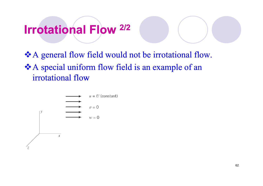#### **Irrotational Flow 2/ 2**I I IUW

\*A general flow field would not be irrotational flow. ❖ A special uniform flow field is an example of an irrotational flow

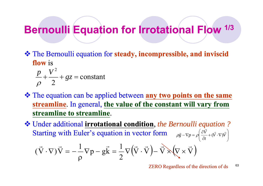### **Bernoulli Equation** for **Irrotational Flow** <sup>1/3</sup>

- The Bernoulli equation for **steady, incompressible, and inviscid flow** is
	- $p + V^2 + ez = constant$ 2  $\frac{1}{\rho} + \frac{1}{2} + gz =$
- $\cdot \cdot$  The equation can be applied between any **two points on the same streamline**. In general, **the value of the constant will vary from streamline to streamline** .

 Under additional **irrotational condition**, *the Bernoulli equation ?* Starting with Euler's equation in vector form  $\rho \vec{g} - \nabla p = \rho \left( \frac{\partial V}{\partial t} + (\vec{V} \cdot \nabla) \vec{V} \right)$  $\overline{\phantom{a}}$  $\left(\partial \vec{V}\right)$  - -I I  $+(V\cdot \nabla$  $\nabla p = \rho \left( \frac{\partial V}{\partial y} + (\vec{V} \cdot \nabla) \vec{V} \right)$  $\vec{g} - \nabla p = \rho \left( \frac{\partial V}{\partial x} + (\vec{V} \cdot \nabla) \vec{V} \right)$ →  $\rho \vec{g} - \nabla p = \rho \left| \frac{\partial V}{\partial x} + (V \cdot \nabla) \right|$  $\big(\vec{\nabla}$  $\vec{\nabla}\Big)$  $\vec{V}$  $\vec{\nabla}\Big)$ 2  $p - g\vec{k} = \frac{1}{2}$  $(\vec{\nabla} \cdot \nabla) \vec{\nabla} = -\frac{1}{\sqrt{2}}$  $(\vec{\nabla}\cdot\nabla)\vec{\nabla} = -\frac{1}{2}\nabla p - q\vec{k} = -\nabla(\vec{\nabla}\cdot\vec{\nabla}) - \vec{\nabla}\times(\nabla\times\vec{\nabla})$  $\cdot \nabla$ ) V =  $-\frac{1}{\rho}$  V p – gk =  $\frac{1}{2}$  V  $-\mathbf{v}p = p\left(\frac{\partial f}{\partial t} + (\mathbf{v} \cdot \mathbf{v})\mathbf{v}\right)$ 

> 63 ZERO Regardless of the direction of ds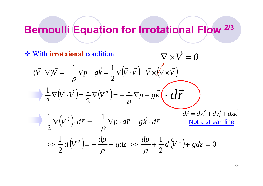## **Bernoulli Equation for Irrotational Flow 2/3 Flow**

$$
\begin{aligned}\n\text{With } \underline{\text{irrotational}} \text{ condition} & \nabla \times \vec{V} = 0 \\
(\vec{V} \cdot \nabla) \vec{V} = -\frac{1}{\rho} \nabla p - g\vec{k} = \frac{1}{2} \nabla (\vec{V} \cdot \vec{V}) - \vec{V} \times (\vec{V} \times \vec{V}) \\
\frac{1}{2} \nabla (\vec{V} \cdot \vec{V}) = \frac{1}{2} \nabla (V^2) = -\frac{1}{\rho} \nabla p - g\vec{k} \cdot d\vec{r} \\
\frac{1}{2} \nabla (V^2) \cdot d\vec{r} = -\frac{1}{\rho} \nabla p \cdot d\vec{r} - g\vec{k} \cdot d\vec{r} & \underline{\text{Not a streamline}} \\
&>> \frac{1}{2} d(V^2) = -\frac{dp}{\rho} - g dz \gg \frac{dp}{\rho} + \frac{1}{2} d(V^2) + g dz = 0\n\end{aligned}
$$

64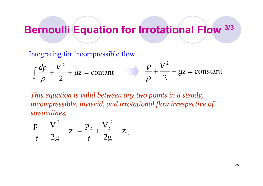### **Bernoulli Equation** for **Irrotational Flow**  $3/3$

Integrating for incompressible flow

$$
\int \frac{dp}{\rho} + \frac{V^2}{2} + gz = \text{constant}
$$
 
$$
\frac{p}{\rho} + \frac{V^2}{2} + gz = \text{constant}
$$

This equation is valid between <u>any two points in a steady</u>, *incompressible, inviscid, and irrotational flow irrespective of streamlines.*

$$
\frac{p_1}{\gamma} + \frac{V_1^2}{2g} + z_1 = \frac{p_2}{\gamma} + \frac{V_2^2}{2g} + z_2
$$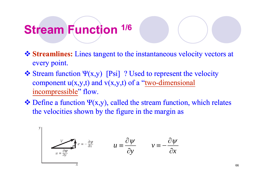# **Stream Function Stream 1/6**

- **<sup>❖</sup> Streamlines:** Lines tangent to the instantaneous velocity vectors at every point.
- $\triangleleft$  Stream function  $\Psi(x,y)$  [Psi] ? Used to represent the velocity component  $u(x,y,t)$  and  $v(x,y,t)$  of a "two-dimensional incompressible" flow.
- $\triangleleft$  Define a function  $\Psi(x,y)$ , called the stream function, which relates the velocities shown by the figure in the margin as

$$
u = \frac{\partial \psi}{\partial y} \qquad \qquad u = \frac{\partial \psi}{\partial x} \qquad \qquad v = -\frac{\partial \psi}{\partial x}
$$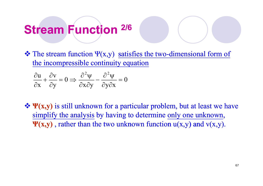# **Stream Function Stream 2/6**

 $\triangleleft$  The stream function  $\Psi(x,y)$  satisfies the two-dimensional form of the incompressible continuity equation

$$
\frac{\partial u}{\partial x} + \frac{\partial v}{\partial y} = 0 \implies \frac{\partial^2 \psi}{\partial x \partial y} - \frac{\partial^2 \psi}{\partial y \partial x} = 0
$$

**\***  $\Psi$ (**x**,y) is still unknown for a particular problem, but at least we have simplify the analysis by having to determine only one unknown,  $\Psi(x,y)$ , rather than the two unknown function  $u(x,y)$  and  $v(x,y)$ .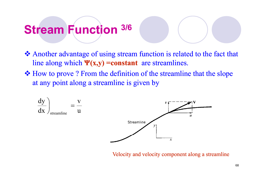# **Stream Function Stream 3/6**

- Another advantage of using stream function is related to the fact that line along which **Ψ(x,y) =constant** are streamlines.
- $\cdot$  How to prove ? From the definition of the streamline that the slope at any point along a streamline is given by



Velocity and velocity component along a streamline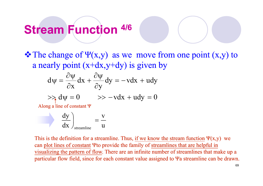# **Stream Function Stream 4/6**

 $\triangleleft$  The change of  $\Psi(x,y)$  as we move from one point  $(x,y)$  to a nearly point  $(x+dx,y+dy)$  is given by

$$
d\psi = \frac{\partial \psi}{\partial x} dx + \frac{\partial \psi}{\partial y} dy = -v dx + u dy
$$

$$
\Rightarrow \lambda \, d\psi = 0 \qquad \Rightarrow -\nu dx + u dy = 0
$$

Along a line of constant Ψ

$$
\frac{dy}{dx}\bigg|_{\text{streamline}} = \frac{v}{u}
$$

This is the definition for a streamline. Thus, if we know the stream function  $\Psi(x, y)$  we can plot lines of constant  $\Psi$  to provide the family of streamlines that are helpful in visualizing the pattern of flow. There are an infinite number of streamlines that make up a particular flow field, since for each constant value assigned to Ψa streamline can be drawn.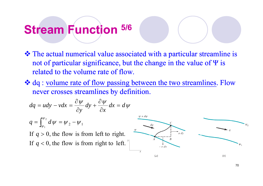# **Stream Function Stream 5/6**

- The actual numerical value associated with a particular streamline is not of particular significance, but the change in the value of Ψ is related to the volume rate of flow.
- \* dq : volume rate of flow passing between the two streamlines. Flow never crosses streamlines by definition.

$$
dq = udy - vdx = \frac{\partial \psi}{\partial y} dy + \frac{\partial \psi}{\partial x} dx = d\psi
$$

$$
q = \int_{\psi_1}^{\psi_2} d\psi = \psi_2 - \psi_1
$$

If  $q > 0$ , the flow is from left to right. If  $q < 0$ , the flow is from right to left.

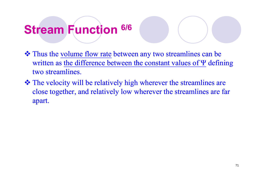# **Stream Function Stream 6/6**

- Thus the volume flow rate between any two streamlines can be written as the difference between the constant values of  $\Psi$  defining two streamlines.
- The velocity will be relatively high wherever the streamlines are close together, and relatively low wherever the streamlines are far apart.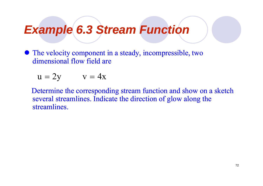### *Example 6.3 Stream Function*

• The velocity component in a steady, incompressible, two dimensional flow field are

$$
u = 2y \qquad v = 4x
$$

Determine the corresponding stream function and show on a sketch several streamlines. Indicate the direction of glow along the streamlines.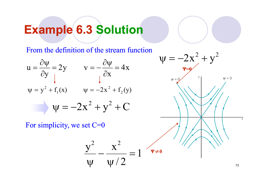# **Example 6.3 Solution**

From the definition of the stream function



For simplicity, we set  $C=0$ 

$$
\frac{y^2}{\psi} - \frac{x^2}{\psi/2} = 1 \sqrt{\psi \neq 0}
$$

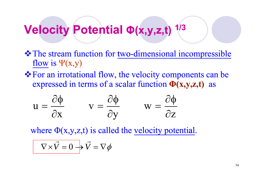#### **Velocity Potential Φ (x <sup>y</sup> <sup>z</sup> t) 1/ 3 ( x , , ,t)**

- The stream function for two-dimensional incompressible flow is  $\Psi(x,y)$
- \* For an irrotational flow, the velocity components can be expressed in terms of a scalar function **Φ (x,y,z,t) x,y,z,t)**as

$$
u = \frac{\partial \phi}{\partial x} \qquad v = \frac{\partial \phi}{\partial y} \qquad w = \frac{\partial \phi}{\partial z}
$$

where  $\Phi(x,y,z,t)$  is called the velocity potential.

$$
\nabla \times \vec{V} = 0 \rightarrow \vec{V} = \nabla \phi
$$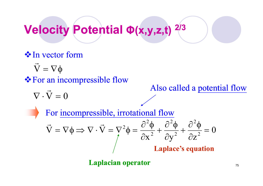### **Velocity Potential Φ (x <sup>y</sup> <sup>z</sup> t) 2/ 3 ( x , , ,t)**

## **V**In vector form

 $\vec{\nabla} = \nabla \phi$ 

**❖ For an incompressible flow** 

 $\nabla\cdot\mathrm{V}=0$ 

### Also called a potential flow

For incompressible, irrotational flow

$$
\vec{V} = \nabla \phi \Longrightarrow \nabla \cdot \vec{V} = \nabla^2 \phi = \frac{\partial^2 \phi}{\partial x^2} + \frac{\partial^2 \phi}{\partial y^2} + \frac{\partial^2 \phi}{\partial z^2} = 0
$$
  
Laplace's equation

**Laplacian operator** 75